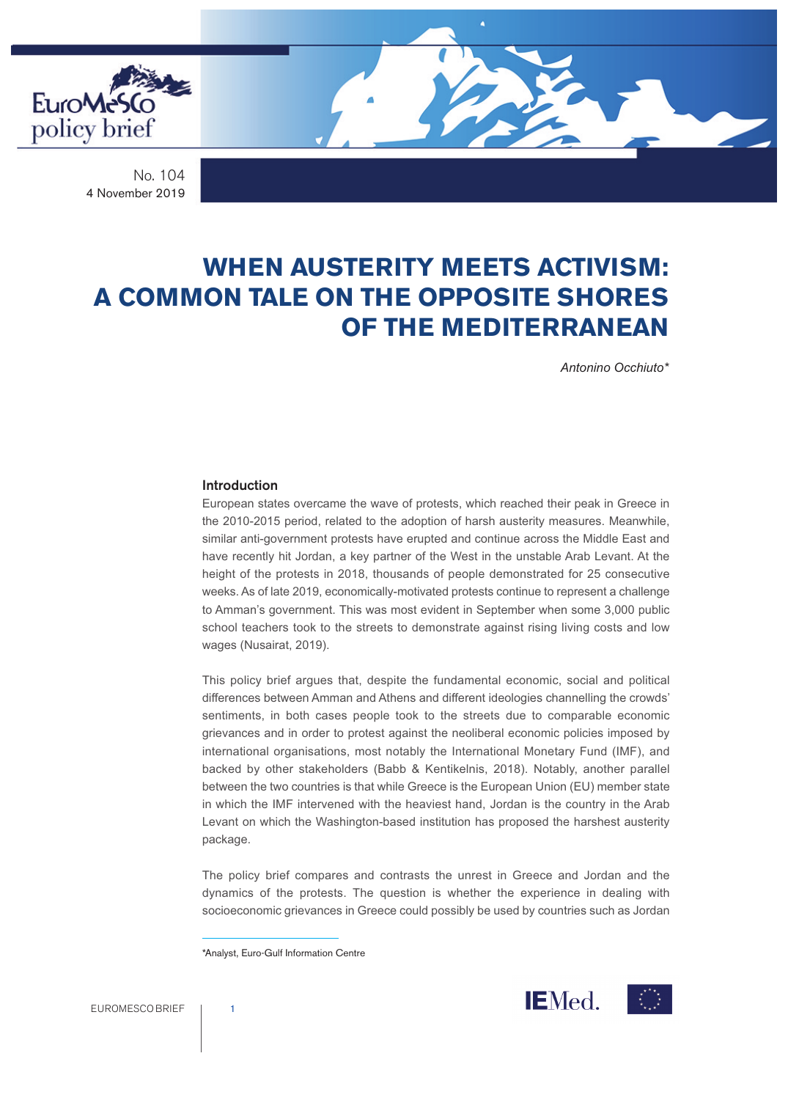

No. 104 4 November 2019

# **WHEN AUSTERITY MEETS ACTIVISM: A COMMON TALE ON THE OPPOSITE SHORES OF THE MEDITERRANEAN**

*Antonino Occhiuto\**

#### **Introduction**

European states overcame the wave of protests, which reached their peak in Greece in the 2010-2015 period, related to the adoption of harsh austerity measures. Meanwhile, similar anti-government protests have erupted and continue across the Middle East and have recently hit Jordan, a key partner of the West in the unstable Arab Levant. At the height of the protests in 2018, thousands of people demonstrated for 25 consecutive weeks. As of late 2019, economically-motivated protests continue to represent a challenge to Amman's government. This was most evident in September when some 3,000 public school teachers took to the streets to demonstrate against rising living costs and low wages (Nusairat, 2019).

This policy brief argues that, despite the fundamental economic, social and political differences between Amman and Athens and different ideologies channelling the crowds' sentiments, in both cases people took to the streets due to comparable economic grievances and in order to protest against the neoliberal economic policies imposed by international organisations, most notably the International Monetary Fund (IMF), and backed by other stakeholders (Babb & Kentikelnis, 2018). Notably, another parallel between the two countries is that while Greece is the European Union (EU) member state in which the IMF intervened with the heaviest hand, Jordan is the country in the Arab Levant on which the Washington-based institution has proposed the harshest austerity package.

The policy brief compares and contrasts the unrest in Greece and Jordan and the dynamics of the protests. The question is whether the experience in dealing with socioeconomic grievances in Greece could possibly be used by countries such as Jordan



<sup>\*</sup>Analyst, Euro-Gulf Information Centre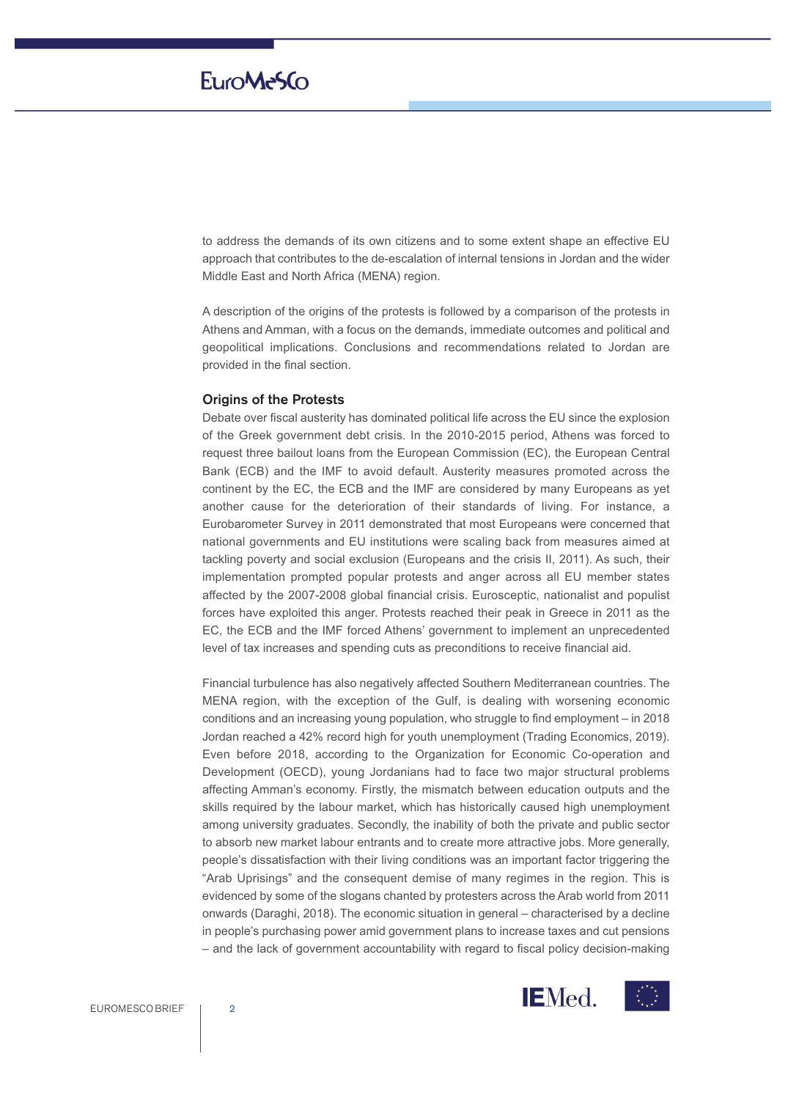to address the demands of its own citizens and to some extent shape an effective EU approach that contributes to the de-escalation of internal tensions in Jordan and the wider Middle East and North Africa (MENA) region.

A description of the origins of the protests is followed by a comparison of the protests in Athens and Amman, with a focus on the demands, immediate outcomes and political and geopolitical implications. Conclusions and recommendations related to Jordan are provided in the final section.

#### **Origins of the Protests**

Debate over fiscal austerity has dominated political life across the EU since the explosion of the Greek government debt crisis. In the 2010-2015 period, Athens was forced to request three bailout loans from the European Commission (EC), the European Central Bank (ECB) and the IMF to avoid default. Austerity measures promoted across the continent by the EC, the ECB and the IMF are considered by many Europeans as yet another cause for the deterioration of their standards of living. For instance, a Eurobarometer Survey in 2011 demonstrated that most Europeans were concerned that national governments and EU institutions were scaling back from measures aimed at tackling poverty and social exclusion (Europeans and the crisis II, 2011). As such, their implementation prompted popular protests and anger across all EU member states affected by the 2007-2008 global financial crisis. Eurosceptic, nationalist and populist forces have exploited this anger. Protests reached their peak in Greece in 2011 as the EC, the ECB and the IMF forced Athens' government to implement an unprecedented level of tax increases and spending cuts as preconditions to receive financial aid.

Financial turbulence has also negatively affected Southern Mediterranean countries. The MENA region, with the exception of the Gulf, is dealing with worsening economic conditions and an increasing young population, who struggle to find employment – in 2018 Jordan reached a 42% record high for youth unemployment (Trading Economics, 2019). Even before 2018, according to the Organization for Economic Co-operation and Development (OECD), young Jordanians had to face two major structural problems affecting Amman's economy. Firstly, the mismatch between education outputs and the skills required by the labour market, which has historically caused high unemployment among university graduates. Secondly, the inability of both the private and public sector to absorb new market labour entrants and to create more attractive jobs. More generally, people's dissatisfaction with their living conditions was an important factor triggering the "Arab Uprisings" and the consequent demise of many regimes in the region. This is evidenced by some of the slogans chanted by protesters across the Arab world from 2011 onwards (Daraghi, 2018). The economic situation in general – characterised by a decline in people's purchasing power amid government plans to increase taxes and cut pensions ‒ and the lack of government accountability with regard to fiscal policy decision-making



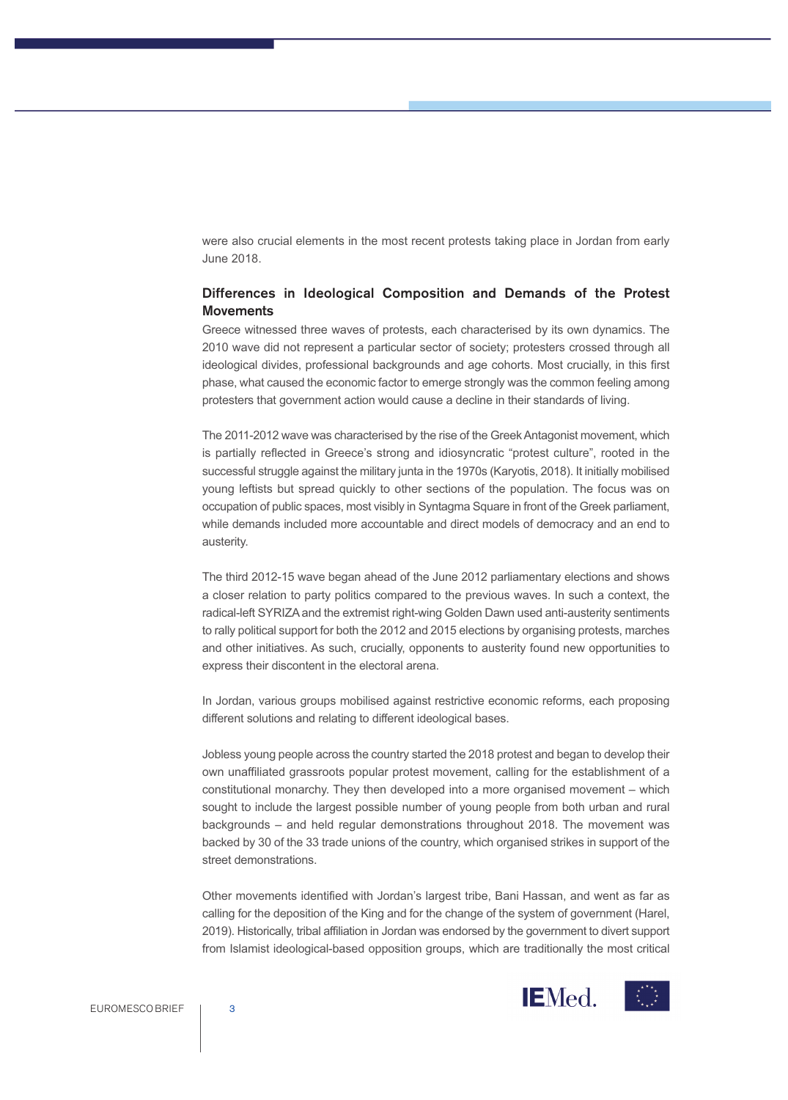were also crucial elements in the most recent protests taking place in Jordan from early June 2018.

### **Differences in Ideological Composition and Demands of the Protest Movements**

Greece witnessed three waves of protests, each characterised by its own dynamics. The 2010 wave did not represent a particular sector of society; protesters crossed through all ideological divides, professional backgrounds and age cohorts. Most crucially, in this first phase, what caused the economic factor to emerge strongly was the common feeling among protesters that government action would cause a decline in their standards of living.

The 2011-2012 wave was characterised by the rise of the GreekAntagonist movement, which is partially reflected in Greece's strong and idiosyncratic "protest culture", rooted in the successful struggle against the military junta in the 1970s (Karyotis, 2018). It initially mobilised young leftists but spread quickly to other sections of the population. The focus was on occupation of public spaces, most visibly in Syntagma Square in front of the Greek parliament, while demands included more accountable and direct models of democracy and an end to austerity.

The third 2012-15 wave began ahead of the June 2012 parliamentary elections and shows a closer relation to party politics compared to the previous waves. In such a context, the radical-left SYRIZAand the extremist right-wing Golden Dawn used anti-austerity sentiments to rally political support for both the 2012 and 2015 elections by organising protests, marches and other initiatives. As such, crucially, opponents to austerity found new opportunities to express their discontent in the electoral arena.

In Jordan, various groups mobilised against restrictive economic reforms, each proposing different solutions and relating to different ideological bases.

Jobless young people across the country started the 2018 protest and began to develop their own unaffiliated grassroots popular protest movement, calling for the establishment of a constitutional monarchy. They then developed into a more organised movement – which sought to include the largest possible number of young people from both urban and rural backgrounds - and held regular demonstrations throughout 2018. The movement was backed by 30 of the 33 trade unions of the country, which organised strikes in support of the street demonstrations.

Other movements identified with Jordan's largest tribe, Bani Hassan, and went as far as calling for the deposition of the King and for the change of the system of government (Harel, 2019). Historically, tribal affiliation in Jordan was endorsed by the government to divert support from Islamist ideological-based opposition groups, which are traditionally the most critical

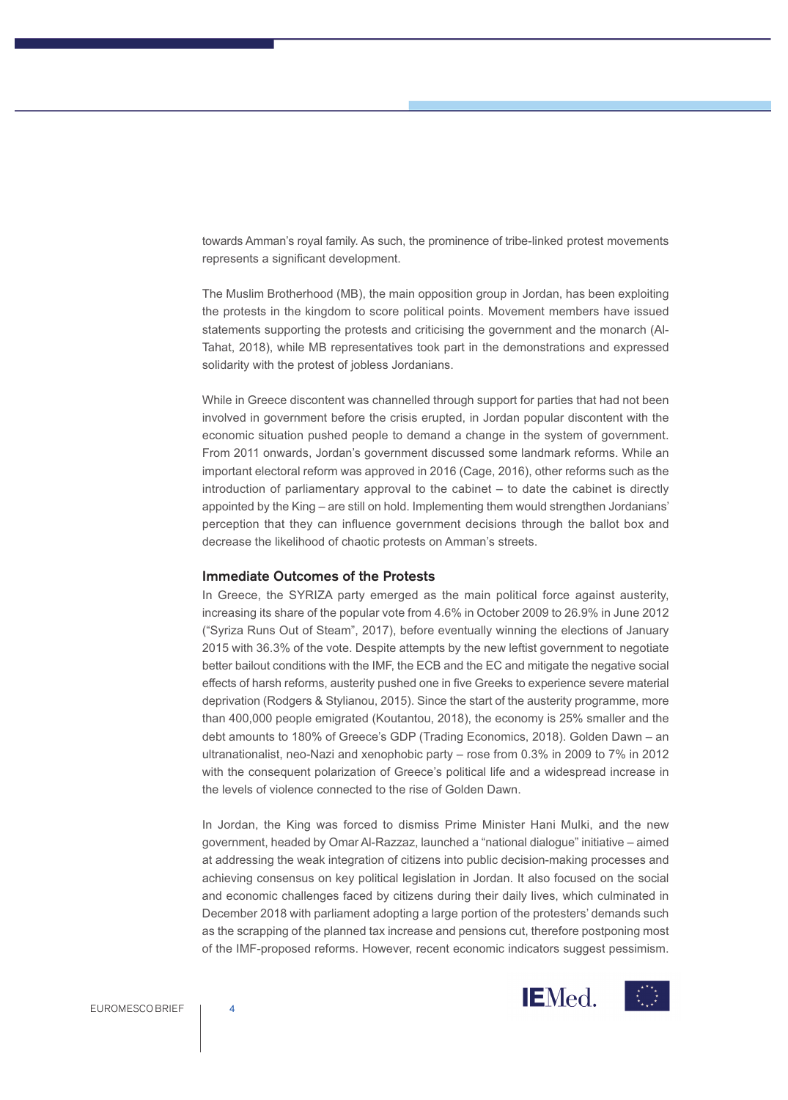towards Amman's royal family. As such, the prominence of tribe-linked protest movements represents a significant development.

The Muslim Brotherhood (MB), the main opposition group in Jordan, has been exploiting the protests in the kingdom to score political points. Movement members have issued statements supporting the protests and criticising the government and the monarch (Al-Tahat, 2018), while MB representatives took part in the demonstrations and expressed solidarity with the protest of jobless Jordanians.

While in Greece discontent was channelled through support for parties that had not been involved in government before the crisis erupted, in Jordan popular discontent with the economic situation pushed people to demand a change in the system of government. From 2011 onwards, Jordan's government discussed some landmark reforms. While an important electoral reform was approved in 2016 (Cage, 2016), other reforms such as the  $introduction of parliamentary approval to the cabinet – to date the cabinet is directly$ appointed by the King – are still on hold. Implementing them would strengthen Jordanians' perception that they can influence government decisions through the ballot box and decrease the likelihood of chaotic protests on Amman's streets.

#### **Immediate Outcomes of the Protests**

In Greece, the SYRIZA party emerged as the main political force against austerity, increasing its share of the popular vote from 4.6% in October 2009 to 26.9% in June 2012 ("Syriza Runs Out of Steam", 2017), before eventually winning the elections of January 2015 with 36.3% of the vote. Despite attempts by the new leftist government to negotiate better bailout conditions with the IMF, the ECB and the EC and mitigate the negative social effects of harsh reforms, austerity pushed one in five Greeks to experience severe material deprivation (Rodgers & Stylianou, 2015). Since the start of the austerity programme, more than 400,000 people emigrated (Koutantou, 2018), the economy is 25% smaller and the debt amounts to 180% of Greece's GDP (Trading Economics, 2018). Golden Dawn - an ultranationalist, neo-Nazi and xenophobic party – rose from 0.3% in 2009 to 7% in 2012 with the consequent polarization of Greece's political life and a widespread increase in the levels of violence connected to the rise of Golden Dawn.

In Jordan, the King was forced to dismiss Prime Minister Hani Mulki, and the new government, headed by Omar Al-Razzaz, launched a "national dialogue" initiative - aimed at addressing the weak integration of citizens into public decision-making processes and achieving consensus on key political legislation in Jordan. It also focused on the social and economic challenges faced by citizens during their daily lives, which culminated in December 2018 with parliament adopting a large portion of the protesters' demands such as the scrapping of the planned tax increase and pensions cut, therefore postponing most of the IMF-proposed reforms. However, recent economic indicators suggest pessimism.



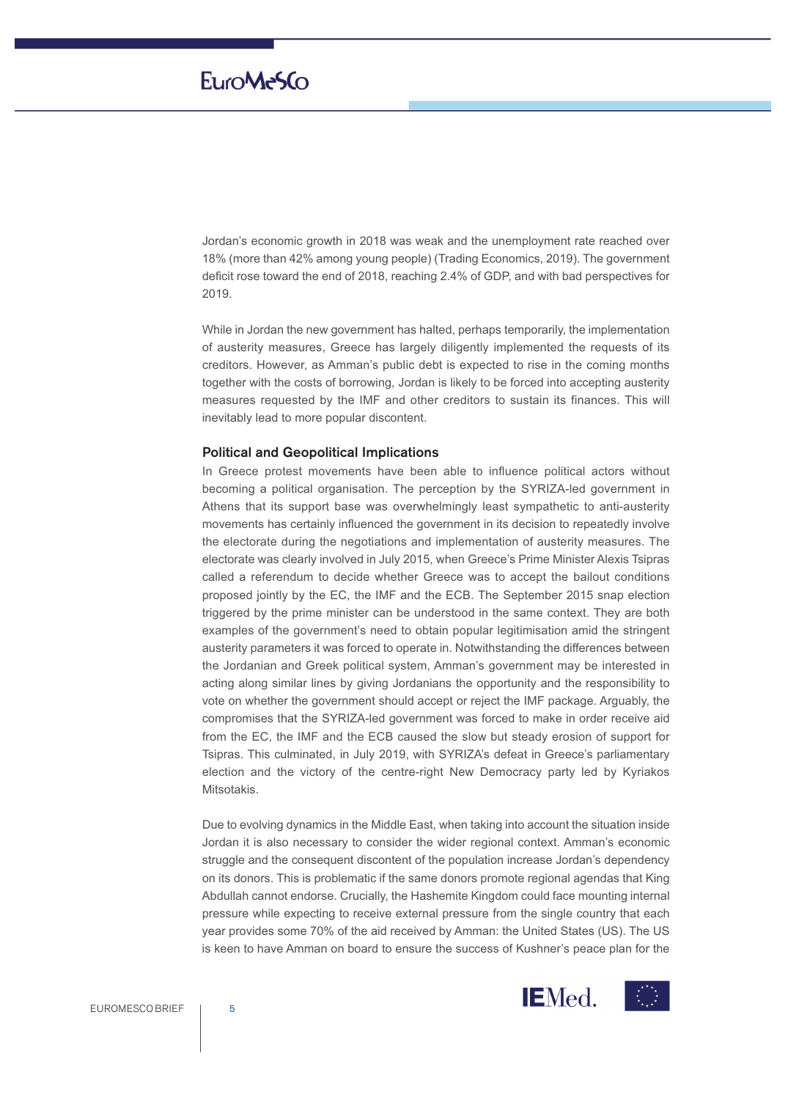Jordan's economic growth in 2018 was weak and the unemployment rate reached over 18% (more than 42% among young people) (Trading Economics, 2019). The government deficit rose toward the end of 2018, reaching 2.4% of GDP, and with bad perspectives for 2019.

While in Jordan the new government has halted, perhaps temporarily, the implementation of austerity measures, Greece has largely diligently implemented the requests of its creditors. However, as Amman's public debt is expected to rise in the coming months together with the costs of borrowing, Jordan is likely to be forced into accepting austerity measures requested by the IMF and other creditors to sustain its finances. This will inevitably lead to more popular discontent.

#### **Political and Geopolitical Implications**

In Greece protest movements have been able to influence political actors without becoming a political organisation. The perception by the SYRIZA-led government in Athens that its support base was overwhelmingly least sympathetic to anti-austerity movements has certainly influenced the government in its decision to repeatedly involve the electorate during the negotiations and implementation of austerity measures. The electorate was clearly involved in July 2015, when Greece's Prime Minister Alexis Tsipras called a referendum to decide whether Greece was to accept the bailout conditions proposed jointly by the EC, the IMF and the ECB. The September 2015 snap election triggered by the prime minister can be understood in the same context. They are both examples of the government's need to obtain popular legitimisation amid the stringent austerity parameters it was forced to operate in. Notwithstanding the differences between the Jordanian and Greek political system, Amman's government may be interested in acting along similar lines by giving Jordanians the opportunity and the responsibility to vote on whether the government should accept or reject the IMF package. Arguably, the compromises that the SYRIZA-led government was forced to make in order receive aid from the EC, the IMF and the ECB caused the slow but steady erosion of support for Tsipras. This culminated, in July 2019, with SYRIZA's defeat in Greece's parliamentary election and the victory of the centre-right New Democracy party led by Kyriakos Mitsotakis.

Due to evolving dynamics in the Middle East, when taking into account the situation inside Jordan it is also necessary to consider the wider regional context. Amman's economic struggle and the consequent discontent of the population increase Jordan's dependency on its donors. This is problematic if the same donors promote regional agendas that King Abdullah cannot endorse. Crucially, the Hashemite Kingdom could face mounting internal pressure while expecting to receive external pressure from the single country that each year provides some 70% of the aid received by Amman: the United States (US). The US is keen to have Amman on board to ensure the success of Kushner's peace plan for the



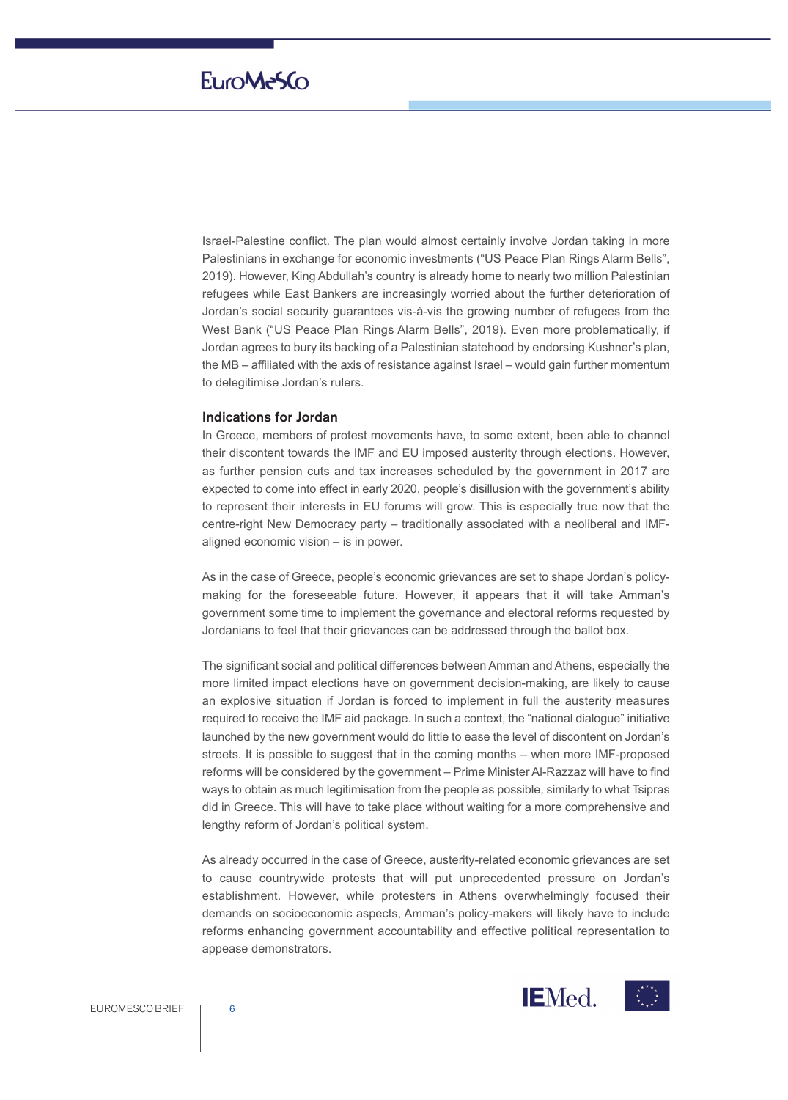Israel-Palestine conflict. The plan would almost certainly involve Jordan taking in more Palestinians in exchange for economic investments ("US Peace Plan Rings Alarm Bells", 2019). However, King Abdullah's country is already home to nearly two million Palestinian refugees while East Bankers are increasingly worried about the further deterioration of Jordan's social security guarantees vis-à-vis the growing number of refugees from the West Bank ("US Peace Plan Rings Alarm Bells", 2019). Even more problematically, if Jordan agrees to bury its backing of a Palestinian statehood by endorsing Kushner's plan, the MB – affiliated with the axis of resistance against Israel – would gain further momentum to delegitimise Jordan's rulers.

### **Indications for Jordan**

In Greece, members of protest movements have, to some extent, been able to channel their discontent towards the IMF and EU imposed austerity through elections. However, as further pension cuts and tax increases scheduled by the government in 2017 are expected to come into effect in early 2020, people's disillusion with the government's ability to represent their interests in EU forums will grow. This is especially true now that the centre-right New Democracy party - traditionally associated with a neoliberal and IMFaligned economic vision  $-$  is in power.

As in the case of Greece, people's economic grievances are set to shape Jordan's policymaking for the foreseeable future. However, it appears that it will take Amman's government some time to implement the governance and electoral reforms requested by Jordanians to feel that their grievances can be addressed through the ballot box.

The significant social and political differences between Amman and Athens, especially the more limited impact elections have on government decision-making, are likely to cause an explosive situation if Jordan is forced to implement in full the austerity measures required to receive the IMF aid package. In such a context, the "national dialogue" initiative launched by the new government would do little to ease the level of discontent on Jordan's streets. It is possible to suggest that in the coming months – when more IMF-proposed reforms will be considered by the government ‒ Prime Minister Al-Razzaz will have to find ways to obtain as much legitimisation from the people as possible, similarly to what Tsipras did in Greece. This will have to take place without waiting for a more comprehensive and lengthy reform of Jordan's political system.

As already occurred in the case of Greece, austerity-related economic grievances are set to cause countrywide protests that will put unprecedented pressure on Jordan's establishment. However, while protesters in Athens overwhelmingly focused their demands on socioeconomic aspects, Amman's policy-makers will likely have to include reforms enhancing government accountability and effective political representation to appease demonstrators.

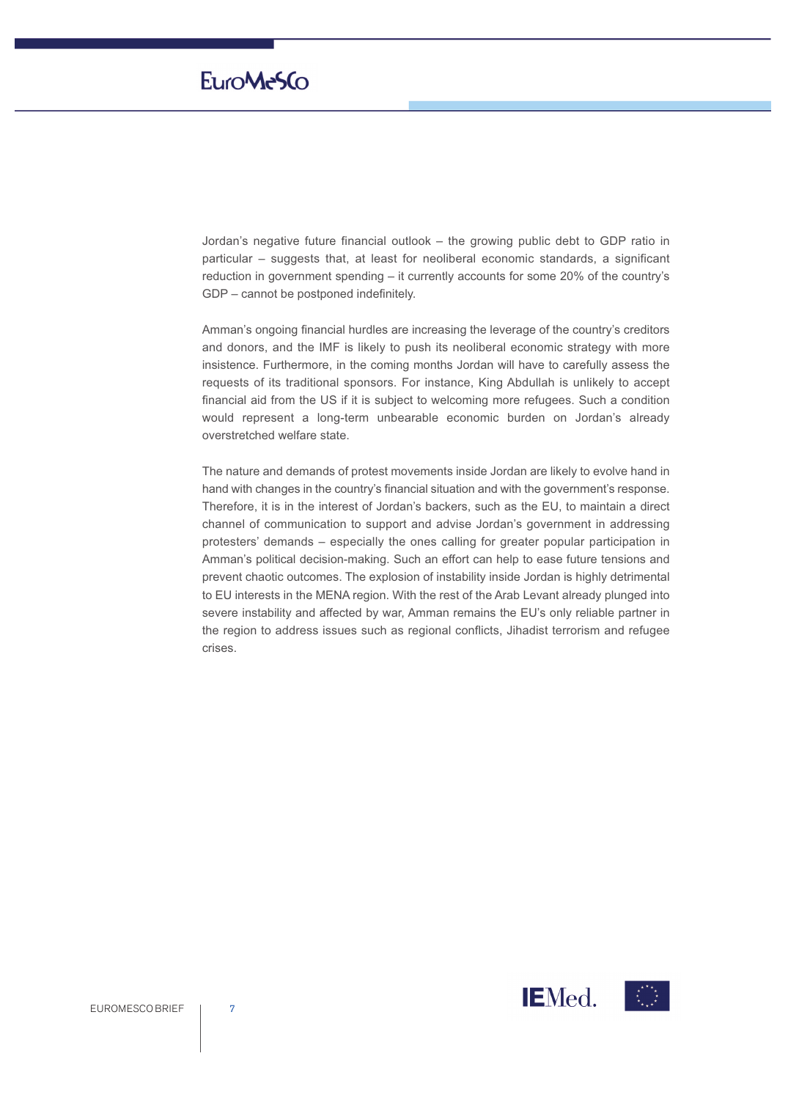# EuroMe5Co

Jordan's negative future financial outlook – the growing public debt to GDP ratio in particular ‒ suggests that, at least for neoliberal economic standards, a significant reduction in government spending – it currently accounts for some 20% of the country's GDP – cannot be postponed indefinitely.

Amman's ongoing financial hurdles are increasing the leverage of the country's creditors and donors, and the IMF is likely to push its neoliberal economic strategy with more insistence. Furthermore, in the coming months Jordan will have to carefully assess the requests of its traditional sponsors. For instance, King Abdullah is unlikely to accept financial aid from the US if it is subject to welcoming more refugees. Such a condition would represent a long-term unbearable economic burden on Jordan's already overstretched welfare state.

The nature and demands of protest movements inside Jordan are likely to evolve hand in hand with changes in the country's financial situation and with the government's response. Therefore, it is in the interest of Jordan's backers, such as the EU, to maintain a direct channel of communication to support and advise Jordan's government in addressing protesters' demands - especially the ones calling for greater popular participation in Amman's political decision-making. Such an effort can help to ease future tensions and prevent chaotic outcomes. The explosion of instability inside Jordan is highly detrimental to EU interests in the MENA region. With the rest of the Arab Levant already plunged into severe instability and affected by war, Amman remains the EU's only reliable partner in the region to address issues such as regional conflicts, Jihadist terrorism and refugee crises.

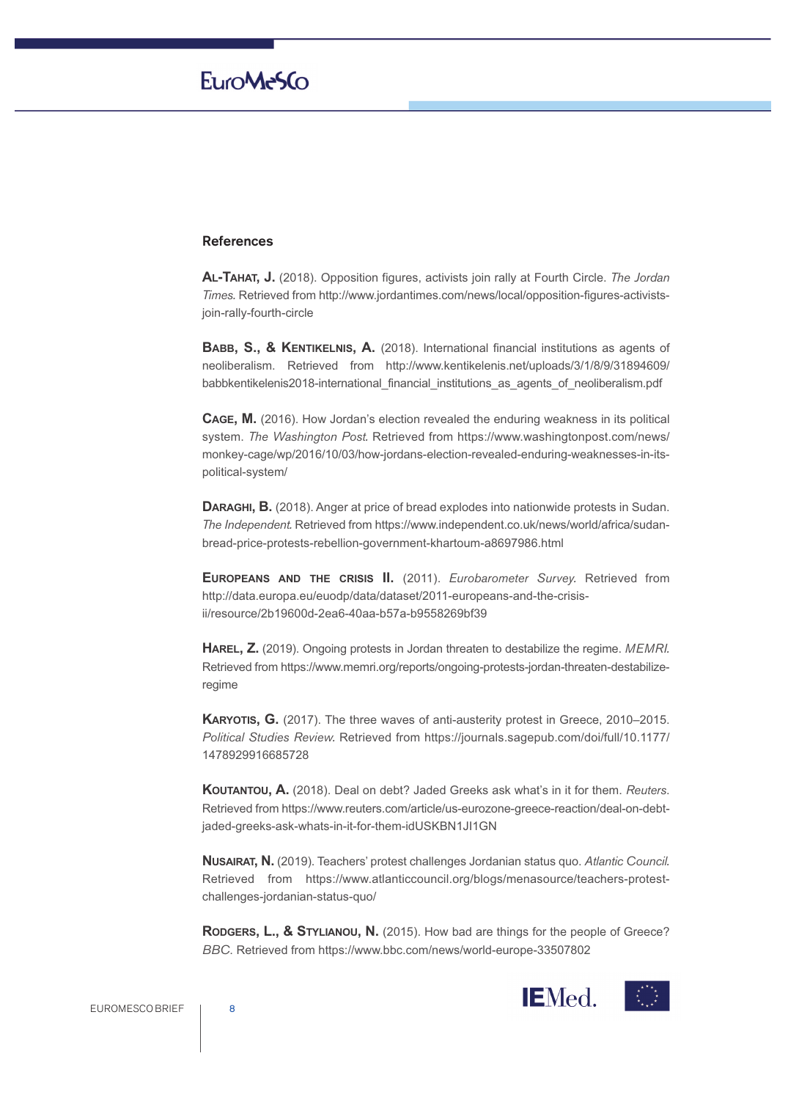### **References**

**AL-TAHAT, J.** (2018). Opposition figures, activists join rally at Fourth Circle. *The Jordan Times.* Retrieved from http://www.jordantimes.com/news/local/opposition-figures-activistsjoin-rally-fourth-circle

**BABB, S., & KENTIKELNIS, A.** (2018). International financial institutions as agents of neoliberalism. Retrieved from http://www.kentikelenis.net/uploads/3/1/8/9/31894609/ babbkentikelenis2018-international\_financial\_institutions\_as\_agents\_of\_neoliberalism.pdf

**CAGE, M.** (2016). How Jordan's election revealed the enduring weakness in its political system. *The Washington Post.* Retrieved from https://www.washingtonpost.com/news/ monkey-cage/wp/2016/10/03/how-jordans-election-revealed-enduring-weaknesses-in-itspolitical-system/

**DARAGHI, B.** (2018). Anger at price of bread explodes into nationwide protests in Sudan. *The Independent.* Retrieved from https://www.independent.co.uk/news/world/africa/sudanbread-price-protests-rebellion-government-khartoum-a8697986.html

**EUROPEANS AND THE CRISIS II.** (2011). *Eurobarometer Survey.* Retrieved from http://data.europa.eu/euodp/data/dataset/2011-europeans-and-the-crisisii/resource/2b19600d-2ea6-40aa-b57a-b9558269bf39

**HAREL, Z.** (2019). Ongoing protests in Jordan threaten to destabilize the regime. *MEMRI.* Retrieved from https://www.memri.org/reports/ongoing-protests-jordan-threaten-destabilizeregime

**KARYOTIS, G.** (2017). The three waves of anti-austerity protest in Greece, 2010–2015. *Political Studies Review.* Retrieved from https://journals.sagepub.com/doi/full/10.1177/ 1478929916685728

**KOUTANTOU, A.** (2018). Deal on debt? Jaded Greeks ask what's in it for them. *Reuters*. Retrieved from https://www.reuters.com/article/us-eurozone-greece-reaction/deal-on-debtjaded-greeks-ask-whats-in-it-for-them-idUSKBN1JI1GN

**NUSAIRAT, N.** (2019). Teachers' protest challenges Jordanian status quo. *Atlantic Council.* Retrieved from https://www.atlanticcouncil.org/blogs/menasource/teachers-protestchallenges-jordanian-status-quo/

**RODGERS, L., & STYLIANOU, N.** (2015). How bad are things for the people of Greece? *BBC*. Retrieved from https://www.bbc.com/news/world-europe-33507802